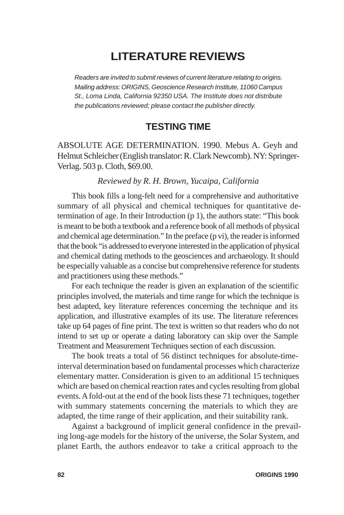## **LITERATURE REVIEWS**

*Readers are invited to submit reviews of current literature relating to origins. Mailing address: ORIGINS, Geoscience Research Institute, 11060 Campus St., Loma Linda, California 92350 USA. The Institute does not distribute the publications reviewed; please contact the publisher directly.*

## **TESTING TIME**

ABSOLUTE AGE DETERMINATION. 1990. Mebus A. Geyh and Helmut Schleicher (English translator: R. Clark Newcomb). NY: Springer-Verlag. 503 p. Cloth, \$69.00.

## *Reviewed by R. H. Brown, Yucaipa, California*

This book fills a long-felt need for a comprehensive and authoritative summary of all physical and chemical techniques for quantitative determination of age. In their Introduction (p 1), the authors state: "This book is meant to be both a textbook and a reference book of all methods of physical and chemical age determination." In the preface (p vi), the reader is informed that the book "is addressed to everyone interested in the application of physical and chemical dating methods to the geosciences and archaeology. It should be especially valuable as a concise but comprehensive reference for students and practitioners using these methods."

For each technique the reader is given an explanation of the scientific principles involved, the materials and time range for which the technique is best adapted, key literature references concerning the technique and its application, and illustrative examples of its use. The literature references take up 64 pages of fine print. The text is written so that readers who do not intend to set up or operate a dating laboratory can skip over the Sample Treatment and Measurement Techniques section of each discussion.

The book treats a total of 56 distinct techniques for absolute-timeinterval determination based on fundamental processes which characterize elementary matter. Consideration is given to an additional 15 techniques which are based on chemical reaction rates and cycles resulting from global events. A fold-out at the end of the book lists these 71 techniques, together with summary statements concerning the materials to which they are adapted, the time range of their application, and their suitability rank.

Against a background of implicit general confidence in the prevailing long-age models for the history of the universe, the Solar System, and planet Earth, the authors endeavor to take a critical approach to the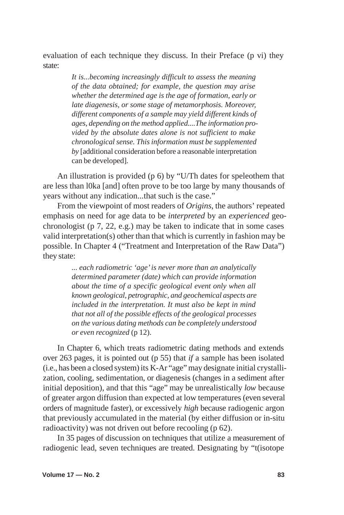evaluation of each technique they discuss. In their Preface (p vi) they state:

> *It is...becoming increasingly difficult to assess the meaning of the data obtained; for example, the question may arise whether the determined age is the age of formation, early or late diagenesis, or some stage of metamorphosis. Moreover, different components of a sample may yield different kinds of ages, depending on the method applied....The information provided by the absolute dates alone is not sufficient to make chronological sense. This information must be supplemented by* [additional consideration before a reasonable interpretation can be developed]*.*

An illustration is provided (p 6) by "U/Th dates for speleothem that are less than l0ka [and] often prove to be too large by many thousands of years without any indication...that such is the case."

From the viewpoint of most readers of *Origins*, the authors' repeated emphasis on need for age data to be *interpreted* by an *experienced* geochronologist (p 7, 22, e.g.) may be taken to indicate that in some cases valid interpretation(s) other than that which is currently in fashion may be possible. In Chapter 4 ("Treatment and Interpretation of the Raw Data") they state:

> *... each radiometric 'age' is never more than an analytically determined parameter (date) which can provide information about the time of a specific geological event only when all known geological, petrographic, and geochemical aspects are included in the interpretation. It must also be kept in mind that not all of the possible effects of the geological processes on the various dating methods can be completely understood or even recognized* (p 12).

In Chapter 6, which treats radiometric dating methods and extends over 263 pages, it is pointed out (p 55) that *if* a sample has been isolated (i.e., has been a closed system) its K-Ar "age" may designate initial crystallization, cooling, sedimentation, or diagenesis (changes in a sediment after initial deposition), and that this "age" may be unrealistically *low* because of greater argon diffusion than expected at low temperatures (even several orders of magnitude faster), or excessively *high* because radiogenic argon that previously accumulated in the material (by either diffusion or in-situ radioactivity) was not driven out before recooling (p 62).

In 35 pages of discussion on techniques that utilize a measurement of radiogenic lead, seven techniques are treated. Designating by "t(isotope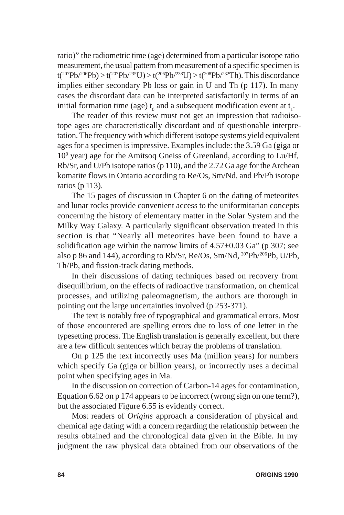ratio)" the radiometric time (age) determined from a particular isotope ratio measurement, the usual pattern from measurement of a specific specimen is  $t(^{207}Pb/^{206}Pb) > t(^{207}Pb/^{235}U) > t(^{206}Pb/^{238}U) > t(^{208}Pb/^{232}Th)$ . This discordance implies either secondary Pb loss or gain in U and Th (p 117). In many cases the discordant data can be interpreted satisfactorily in terms of an initial formation time (age)  $t_0$  and a subsequent modification event at  $t_1$ .

The reader of this review must not get an impression that radioisotope ages are characteristically discordant and of questionable interpretation. The frequency with which different isotope systems yield equivalent ages for a specimen is impressive. Examples include: the 3.59 Ga (giga or 109 year) age for the Amitsoq Gneiss of Greenland, according to Lu/Hf, Rb/Sr, and U/Pb isotope ratios (p 110), and the 2.72 Ga age for the Archean komatite flows in Ontario according to Re/Os, Sm/Nd, and Pb/Pb isotope ratios (p 113).

The 15 pages of discussion in Chapter 6 on the dating of meteorites and lunar rocks provide convenient access to the uniformitarian concepts concerning the history of elementary matter in the Solar System and the Milky Way Galaxy. A particularly significant observation treated in this section is that "Nearly all meteorites have been found to have a solidification age within the narrow limits of  $4.57\pm0.03$  Ga" (p 307; see also p 86 and 144), according to Rb/Sr, Re/Os, Sm/Nd, 207Pb/206Pb, U/Pb, Th/Pb, and fission-track dating methods.

In their discussions of dating techniques based on recovery from disequilibrium, on the effects of radioactive transformation, on chemical processes, and utilizing paleomagnetism, the authors are thorough in pointing out the large uncertainties involved (p 253-371).

The text is notably free of typographical and grammatical errors. Most of those encountered are spelling errors due to loss of one letter in the typesetting process. The English translation is generally excellent, but there are a few difficult sentences which betray the problems of translation.

On p 125 the text incorrectly uses Ma (million years) for numbers which specify Ga (giga or billion years), or incorrectly uses a decimal point when specifying ages in Ma.

In the discussion on correction of Carbon-14 ages for contamination, Equation 6.62 on p 174 appears to be incorrect (wrong sign on one term?), but the associated Figure 6.55 is evidently correct.

Most readers of *Origins* approach a consideration of physical and chemical age dating with a concern regarding the relationship between the results obtained and the chronological data given in the Bible. In my judgment the raw physical data obtained from our observations of the